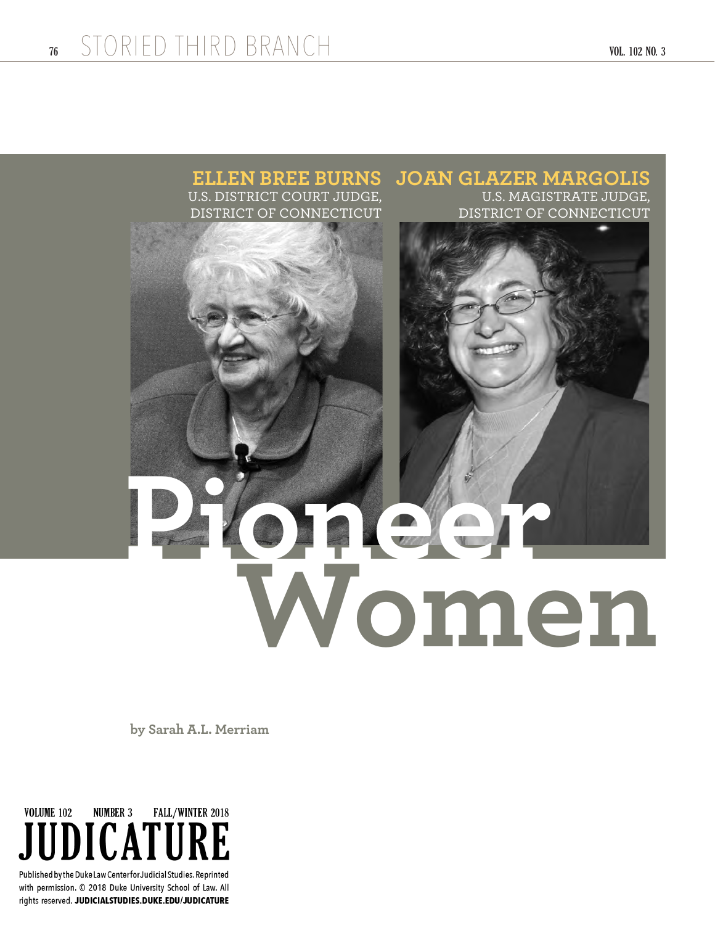

## **ELLEN BREE BURNS** U.S. DISTRICT COURT JUDGE, DISTRICT OF CONNECTICUT **JOAN GLAZER MARGOLIS** U.S. MAGISTRATE JUDGE, DISTRICT OF CONNECTICUT **Pioneer Women**

 **by Sarah A.L. Merriam**



with permission. © 2018 Duke University School of Law. All rights reserved. JUDICIALSTUDIES.DUKE.EDU/JUDICATURE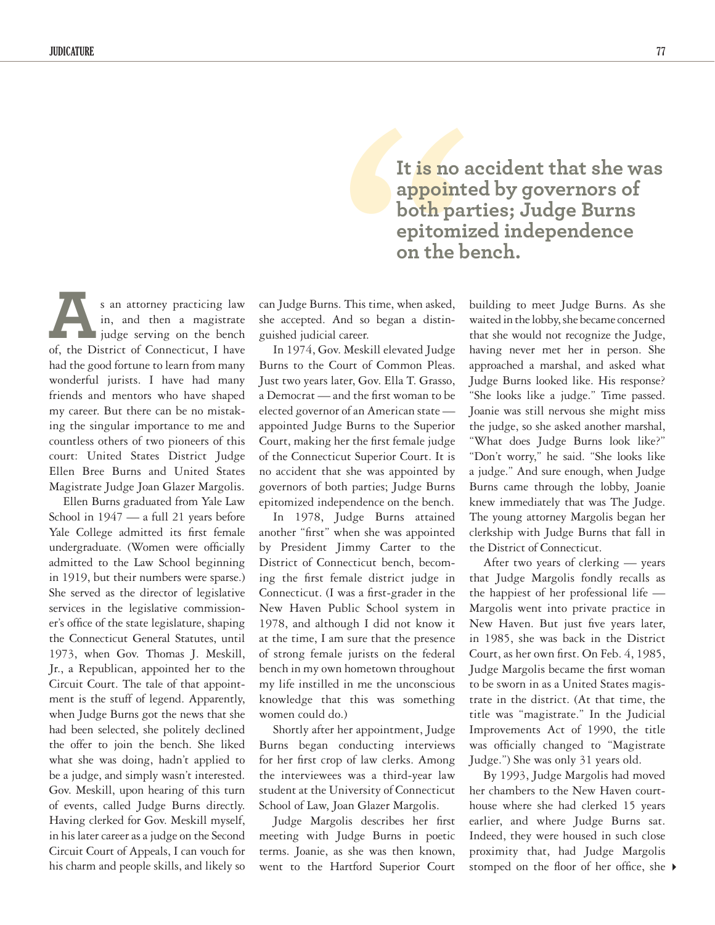s an attorney practicing law in, and then a magistrate lidge serving on the bench s an attorney practicing law<br>in, and then a magistrate<br>judge serving on the bench<br>of, the District of Connecticut, I have had the good fortune to learn from many wonderful jurists. I have had many friends and mentors who have shaped my career. But there can be no mistaking the singular importance to me and countless others of two pioneers of this court: United States District Judge Ellen Bree Burns and United States Magistrate Judge Joan Glazer Margolis.

Ellen Burns graduated from Yale Law School in  $1947$  — a full 21 years before Yale College admitted its first female undergraduate. (Women were officially admitted to the Law School beginning in 1919, but their numbers were sparse.) She served as the director of legislative services in the legislative commissioner's office of the state legislature, shaping the Connecticut General Statutes, until 1973, when Gov. Thomas J. Meskill, Jr., a Republican, appointed her to the Circuit Court. The tale of that appointment is the stuff of legend. Apparently, when Judge Burns got the news that she had been selected, she politely declined the offer to join the bench. She liked what she was doing, hadn't applied to be a judge, and simply wasn't interested. Gov. Meskill, upon hearing of this turn of events, called Judge Burns directly. Having clerked for Gov. Meskill myself, in his later career as a judge on the Second Circuit Court of Appeals, I can vouch for his charm and people skills, and likely so

can Judge Burns. This time, when asked, she accepted. And so began a distinguished judicial career.

In 1974, Gov. Meskill elevated Judge Burns to the Court of Common Pleas. Just two years later, Gov. Ella T. Grasso, a Democrat — and the first woman to be elected governor of an American state appointed Judge Burns to the Superior Court, making her the first female judge of the Connecticut Superior Court. It is no accident that she was appointed by governors of both parties; Judge Burns epitomized independence on the bench.

In 1978, Judge Burns attained another "first" when she was appointed by President Jimmy Carter to the District of Connecticut bench, becoming the first female district judge in Connecticut. (I was a first-grader in the New Haven Public School system in 1978, and although I did not know it at the time, I am sure that the presence of strong female jurists on the federal bench in my own hometown throughout my life instilled in me the unconscious knowledge that this was something women could do.)

Shortly after her appointment, Judge Burns began conducting interviews for her first crop of law clerks. Among the interviewees was a third-year law student at the University of Connecticut School of Law, Joan Glazer Margolis.

Judge Margolis describes her first meeting with Judge Burns in poetic terms. Joanie, as she was then known, went to the Hartford Superior Court

It is no appoint<br>
appoint<br>
both pair<br>
epitomi<br>
on the b<br>
This time, when asked,<br>
nd so began a distin-<br>
career.<br>
Meskill elevated Judge<br>
ourt of Common Pleas.<br>
ter, Gov. Ella T. Grasso, **It is no accident that she was appointed by governors of both parties; Judge Burns epitomized independence on the bench.**

building to meet Judge Burns. As she waited in the lobby, she became concerned that she would not recognize the Judge, having never met her in person. She approached a marshal, and asked what Judge Burns looked like. His response? "She looks like a judge." Time passed. Joanie was still nervous she might miss the judge, so she asked another marshal, "What does Judge Burns look like?" "Don't worry," he said. "She looks like a judge." And sure enough, when Judge Burns came through the lobby, Joanie knew immediately that was The Judge. The young attorney Margolis began her clerkship with Judge Burns that fall in the District of Connecticut.

After two years of clerking — years that Judge Margolis fondly recalls as the happiest of her professional life — Margolis went into private practice in New Haven. But just five years later, in 1985, she was back in the District Court, as her own first. On Feb. 4, 1985, Judge Margolis became the first woman to be sworn in as a United States magistrate in the district. (At that time, the title was "magistrate." In the Judicial Improvements Act of 1990, the title was officially changed to "Magistrate Judge.") She was only 31 years old.

stomped on the floor of her office, she By 1993, Judge Margolis had moved her chambers to the New Haven courthouse where she had clerked 15 years earlier, and where Judge Burns sat. Indeed, they were housed in such close proximity that, had Judge Margolis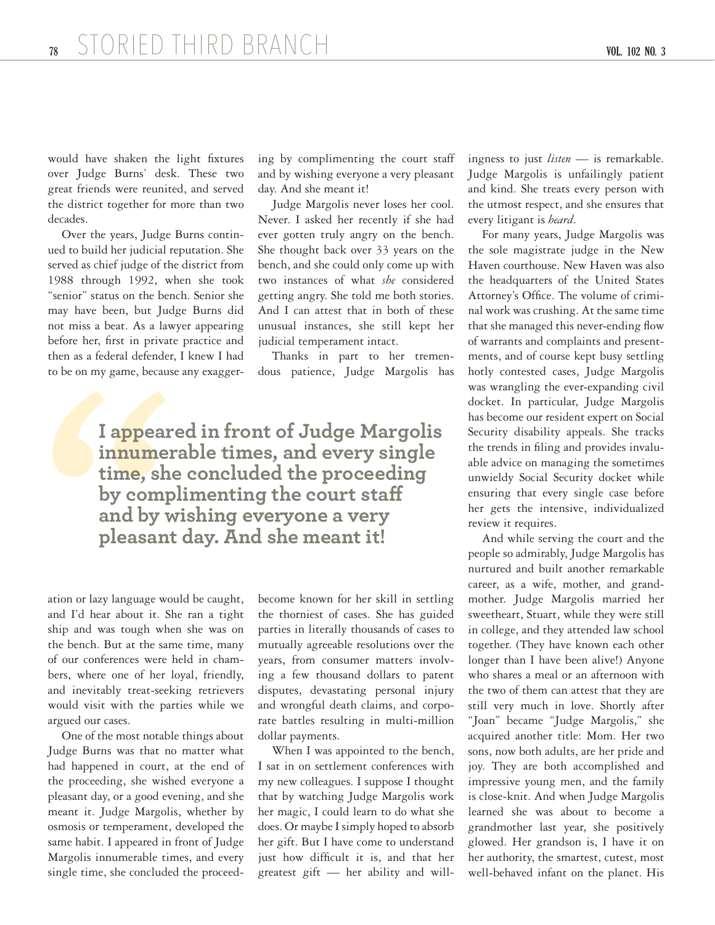would have shaken the light fixtures over Judge Burns' desk. These two great friends were reunited, and served the district together for more than two decades.

Over the years, Judge Burns continued to build her judicial reputation. She served as chief judge of the district from 1988 through 1992, when she took "senior" status on the bench. Senior she may have been, but Judge Burns did not miss a beat. As a lawyer appearing before her, first in private practice and then as a federal defender, I knew I had to be on my game, because any exaggering by complimenting the court staff and by wishing everyone a very pleasant day. And she meant it!

Judge Margolis never loses her cool. Never. I asked her recently if she had ever gotten truly angry on the bench. She thought back over 33 years on the bench, and she could only come up with two instances of what *she* considered getting angry. She told me both stories. And I can attest that in both of these unusual instances, she still kept her judicial temperament intact.

Thanks in part to her tremendous patience, Judge Margolis has

to be on my game, becau<br> **1**<br> **1**<br> **1 appear**<br> **1 imnume:**<br> **1 time, sh**<br> **by compand by v**<br> **pleasan**<br>
ation or lazy language wo<br>
and Py v<br> **pleasan**<br>
ation or lazy language wo<br>
and Pd hear about it. S<br>
ship and was tough **I appeared in front of Judge Margolis innumerable times, and every single time, she concluded the proceeding by complimenting the court staff and by wishing everyone a very pleasant day. And she meant it!**

ation or lazy language would be caught, and I'd hear about it. She ran a tight ship and was tough when she was on the bench. But at the same time, many of our conferences were held in chambers, where one of her loyal, friendly, and inevitably treat-seeking retrievers would visit with the parties while we argued our cases.

One of the most notable things about Judge Burns was that no matter what had happened in court, at the end of the proceeding, she wished everyone a pleasant day, or a good evening, and she meant it. Judge Margolis, whether by osmosis or temperament, developed the same habit. I appeared in front of Judge Margolis innumerable times, and every single time, she concluded the proceedbecome known for her skill in settling the thorniest of cases. She has guided parties in literally thousands of cases to mutually agreeable resolutions over the years, from consumer matters involving a few thousand dollars to patent disputes, devastating personal injury and wrongful death claims, and corporate battles resulting in multi-million dollar payments.

When I was appointed to the bench, I sat in on settlement conferences with my new colleagues. I suppose I thought that by watching Judge Margolis work her magic, I could learn to do what she does. Or maybe I simply hoped to absorb her gift. But I have come to understand just how difficult it is, and that her greatest gift — her ability and willingness to just *listen* — is remarkable. Judge Margolis is unfailingly patient and kind. She treats every person with the utmost respect, and she ensures that every litigant is *heard*.

For many years, Judge Margolis was the sole magistrate judge in the New Haven courthouse. New Haven was also the headquarters of the United States Attorney's Office. The volume of criminal work was crushing. At the same time that she managed this never-ending flow of warrants and complaints and presentments, and of course kept busy settling hotly contested cases, Judge Margolis was wrangling the ever-expanding civil docket. In particular, Judge Margolis has become our resident expert on Social Security disability appeals. She tracks the trends in filing and provides invaluable advice on managing the sometimes unwieldy Social Security docket while ensuring that every single case before her gets the intensive, individualized review it requires.

And while serving the court and the people so admirably, Judge Margolis has nurtured and built another remarkable career, as a wife, mother, and grandmother. Judge Margolis married her sweetheart, Stuart, while they were still in college, and they attended law school together. (They have known each other longer than I have been alive!) Anyone who shares a meal or an afternoon with the two of them can attest that they are still very much in love. Shortly after "Joan" became "Judge Margolis," she acquired another title: Mom. Her two sons, now both adults, are her pride and joy. They are both accomplished and impressive young men, and the family is close-knit. And when Judge Margolis learned she was about to become a grandmother last year, she positively glowed. Her grandson is, I have it on her authority, the smartest, cutest, most well-behaved infant on the planet. His